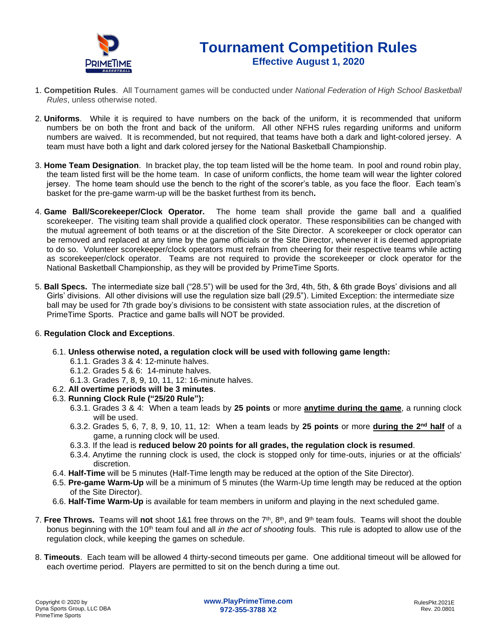

### **Tournament Competition Rules Effective August 1, 2020**

- 1. **Competition Rules**. All Tournament games will be conducted under *National Federation of High School Basketball Rules*, unless otherwise noted.
- 2. **Uniforms**. While it is required to have numbers on the back of the uniform, it is recommended that uniform numbers be on both the front and back of the uniform. All other NFHS rules regarding uniforms and uniform numbers are waived. It is recommended, but not required, that teams have both a dark and light-colored jersey. A team must have both a light and dark colored jersey for the National Basketball Championship.
- 3. **Home Team Designation**. In bracket play, the top team listed will be the home team. In pool and round robin play, the team listed first will be the home team. In case of uniform conflicts, the home team will wear the lighter colored jersey. The home team should use the bench to the right of the scorer's table, as you face the floor. Each team's basket for the pre-game warm-up will be the basket furthest from its bench**.**
- 4. **Game Ball/Scorekeeper/Clock Operator.** The home team shall provide the game ball and a qualified scorekeeper. The visiting team shall provide a qualified clock operator. These responsibilities can be changed with the mutual agreement of both teams or at the discretion of the Site Director. A scorekeeper or clock operator can be removed and replaced at any time by the game officials or the Site Director, whenever it is deemed appropriate to do so. Volunteer scorekeeper/clock operators must refrain from cheering for their respective teams while acting as scorekeeper/clock operator. Teams are not required to provide the scorekeeper or clock operator for the National Basketball Championship, as they will be provided by PrimeTime Sports.
- 5. **Ball Specs.** The intermediate size ball ("28.5") will be used for the 3rd, 4th, 5th, & 6th grade Boys' divisions and all Girls' divisions. All other divisions will use the regulation size ball (29.5"). Limited Exception: the intermediate size ball may be used for 7th grade boy's divisions to be consistent with state association rules, at the discretion of PrimeTime Sports. Practice and game balls will NOT be provided.

#### 6. **Regulation Clock and Exceptions**.

- 6.1. **Unless otherwise noted, a regulation clock will be used with following game length:**
	- 6.1.1. Grades 3 & 4: 12-minute halves.
	- 6.1.2. Grades 5 & 6: 14-minute halves.
	- 6.1.3. Grades 7, 8, 9, 10, 11, 12: 16-minute halves.
- 6.2. **All overtime periods will be 3 minutes**.
- 6.3. **Running Clock Rule ("25/20 Rule"):**
	- 6.3.1. Grades 3 & 4: When a team leads by **25 points** or more **anytime during the game**, a running clock will be used.
	- 6.3.2. Grades 5, 6, 7, 8, 9, 10, 11, 12: When a team leads by **25 points** or more **during the 2nd half** of a game, a running clock will be used.
	- 6.3.3. If the lead is **reduced below 20 points for all grades, the regulation clock is resumed**.
	- 6.3.4. Anytime the running clock is used, the clock is stopped only for time-outs, injuries or at the officials' discretion.
- 6.4. **Half-Time** will be 5 minutes (Half-Time length may be reduced at the option of the Site Director).
- 6.5. **Pre-game Warm-Up** will be a minimum of 5 minutes (the Warm-Up time length may be reduced at the option of the Site Director).
- 6.6. **Half-Time Warm-Up** is available for team members in uniform and playing in the next scheduled game.
- 7. **Free Throws.** Teams will not shoot 1&1 free throws on the 7<sup>th</sup>, 8<sup>th</sup>, and 9<sup>th</sup> team fouls. Teams will shoot the double bonus beginning with the 10<sup>th</sup> team foul and all *in the act of shooting* fouls. This rule is adopted to allow use of the regulation clock, while keeping the games on schedule.
- 8. **Timeouts**. Each team will be allowed 4 thirty-second timeouts per game. One additional timeout will be allowed for each overtime period. Players are permitted to sit on the bench during a time out.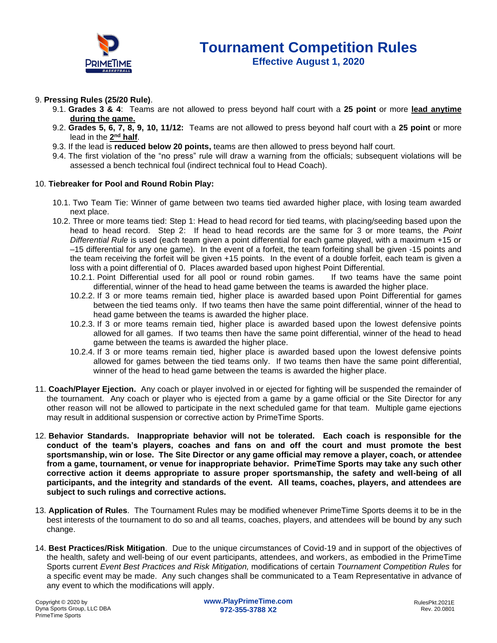

#### 9. **Pressing Rules (25/20 Rule)**.

- 9.1. **Grades 3 & 4**: Teams are not allowed to press beyond half court with a **25 point** or more **lead anytime during the game.**
- 9.2. **Grades 5, 6, 7, 8, 9, 10, 11/12:** Teams are not allowed to press beyond half court with a **25 point** or more lead in the  $2^{\text{nd}}$  half.
- 9.3. If the lead is **reduced below 20 points,** teams are then allowed to press beyond half court.
- 9.4. The first violation of the "no press" rule will draw a warning from the officials; subsequent violations will be assessed a bench technical foul (indirect technical foul to Head Coach).

#### 10. **Tiebreaker for Pool and Round Robin Play:**

- 10.1. Two Team Tie: Winner of game between two teams tied awarded higher place, with losing team awarded next place.
- 10.2. Three or more teams tied: Step 1: Head to head record for tied teams, with placing/seeding based upon the head to head record. Step 2: If head to head records are the same for 3 or more teams, the *Point Differential Rule* is used (each team given a point differential for each game played, with a maximum +15 or –15 differential for any one game). In the event of a forfeit, the team forfeiting shall be given -15 points and the team receiving the forfeit will be given +15 points. In the event of a double forfeit, each team is given a loss with a point differential of 0. Places awarded based upon highest Point Differential.
	- 10.2.1. Point Differential used for all pool or round robin games. If two teams have the same point differential, winner of the head to head game between the teams is awarded the higher place.
	- 10.2.2. If 3 or more teams remain tied, higher place is awarded based upon Point Differential for games between the tied teams only. If two teams then have the same point differential, winner of the head to head game between the teams is awarded the higher place.
	- 10.2.3. If 3 or more teams remain tied, higher place is awarded based upon the lowest defensive points allowed for all games. If two teams then have the same point differential, winner of the head to head game between the teams is awarded the higher place.
	- 10.2.4. If 3 or more teams remain tied, higher place is awarded based upon the lowest defensive points allowed for games between the tied teams only. If two teams then have the same point differential, winner of the head to head game between the teams is awarded the higher place.
- 11. **Coach/Player Ejection.** Any coach or player involved in or ejected for fighting will be suspended the remainder of the tournament. Any coach or player who is ejected from a game by a game official or the Site Director for any other reason will not be allowed to participate in the next scheduled game for that team. Multiple game ejections may result in additional suspension or corrective action by PrimeTime Sports.
- 12. **Behavior Standards. Inappropriate behavior will not be tolerated. Each coach is responsible for the conduct of the team's players, coaches and fans on and off the court and must promote the best sportsmanship, win or lose. The Site Director or any game official may remove a player, coach, or attendee from a game, tournament, or venue for inappropriate behavior. PrimeTime Sports may take any such other corrective action it deems appropriate to assure proper sportsmanship, the safety and well-being of all participants, and the integrity and standards of the event. All teams, coaches, players, and attendees are subject to such rulings and corrective actions.**
- 13. **Application of Rules**. The Tournament Rules may be modified whenever PrimeTime Sports deems it to be in the best interests of the tournament to do so and all teams, coaches, players, and attendees will be bound by any such change.
- 14. **Best Practices/Risk Mitigation**. Due to the unique circumstances of Covid-19 and in support of the objectives of the health, safety and well-being of our event participants, attendees, and workers, as embodied in the PrimeTime Sports current *Event Best Practices and Risk Mitigation,* modifications of certain *Tournament Competition Rules* for a specific event may be made. Any such changes shall be communicated to a Team Representative in advance of any event to which the modifications will apply.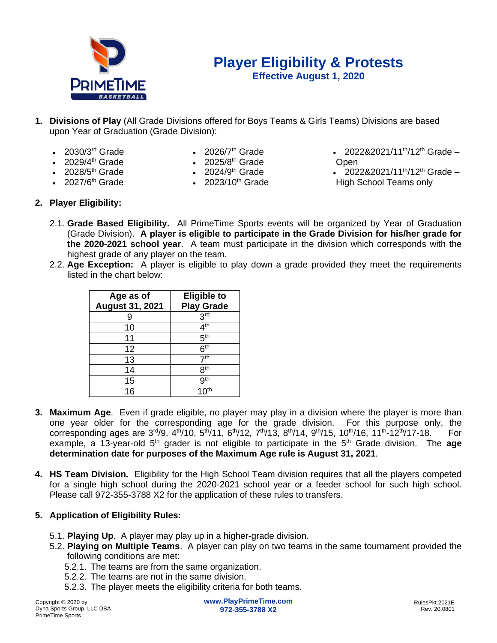

# **Player Eligibility & Protests**

**Effective August 1, 2020**

- **1. Divisions of Play** (All Grade Divisions offered for Boys Teams & Girls Teams) Divisions are based upon Year of Graduation (Grade Division):
	- $\cdot$  2030/3<sup>rd</sup> Grade

• 2028/5<sup>th</sup> Grade

- $2029/4$ <sup>th</sup> Grade  $\qquad \qquad$   $2025/8$ <sup>th</sup> Grade  $\qquad \qquad$  Open
- 2026/ $7<sup>th</sup>$  Grade
	- th Grade **•** 2025/8<sup>th</sup> Grade
		- $2024/9<sup>th</sup>$  Grade
		-
- 2022&2021/11<sup>th</sup>/12<sup>th</sup> Grade –
- 2022&2021/11<sup>th</sup>/12<sup>th</sup> Grade •  $2027/6$ <sup>th</sup> Grade • 2023/10<sup>th</sup> Grade • High School Teams only
- **2. Player Eligibility:**
	- 2.1. **Grade Based Eligibility.** All PrimeTime Sports events will be organized by Year of Graduation (Grade Division). **A player is eligible to participate in the Grade Division for his/her grade for the 2020-2021 school year**. A team must participate in the division which corresponds with the highest grade of any player on the team.
	- 2.2. **Age Exception:** A player is eligible to play down a grade provided they meet the requirements listed in the chart below:

| Age as of<br><b>August 31, 2021</b> | <b>Eligible to</b><br><b>Play Grade</b> |
|-------------------------------------|-----------------------------------------|
|                                     | 3 <sup>rd</sup>                         |
| 10                                  | 4 <sup>th</sup>                         |
| 11                                  | 5 <sup>th</sup>                         |
| 12                                  | 6 <sup>th</sup>                         |
| 13                                  | 7 <sup>th</sup>                         |
| 14                                  | 8 <sup>th</sup>                         |
| 15                                  | gth                                     |
| 16                                  |                                         |

- **3. Maximum Age**. Even if grade eligible, no player may play in a division where the player is more than one year older for the corresponding age for the grade division. For this purpose only, the corresponding ages are 3<sup>rd</sup>/9, 4<sup>th</sup>/10, 5<sup>th</sup>/11, 6<sup>th</sup>/12, 7<sup>th</sup>/13, 8<sup>th</sup>/14, 9<sup>th</sup>/15, 10<sup>th</sup>/16, 11<sup>th</sup>-12<sup>th</sup>/17-18. For example, a 13-year-old 5<sup>th</sup> grader is not eligible to participate in the 5<sup>th</sup> Grade division. The **age determination date for purposes of the Maximum Age rule is August 31, 2021**.
- **4. HS Team Division.** Eligibility for the High School Team division requires that all the players competed for a single high school during the 2020-2021 school year or a feeder school for such high school. Please call 972-355-3788 X2 for the application of these rules to transfers.
- **5. Application of Eligibility Rules:**
	- 5.1. **Playing Up**. A player may play up in a higher-grade division.
	- 5.2. **Playing on Multiple Teams**. A player can play on two teams in the same tournament provided the following conditions are met:
		- 5.2.1. The teams are from the same organization.
		- 5.2.2. The teams are not in the same division.
		- 5.2.3. The player meets the eligibility criteria for both teams.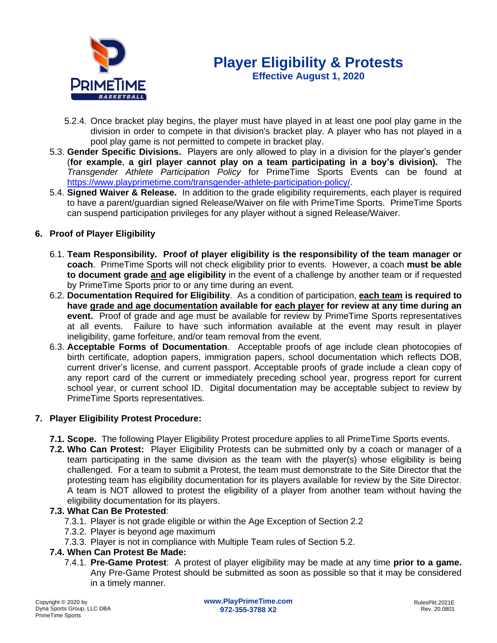

- 5.2.4. Once bracket play begins, the player must have played in at least one pool play game in the division in order to compete in that division's bracket play. A player who has not played in a pool play game is not permitted to compete in bracket play.
- 5.3. **Gender Specific Divisions.** Players are only allowed to play in a division for the player's gender (**for example**, **a girl player cannot play on a team participating in a boy's division).** The *Transgender Athlete Participation Policy* for PrimeTime Sports Events can be found at [https://www.playprimetime.com/transgender-athlete-participation-policy/.](https://www.playprimetime.com/transgender-athlete-participation-policy/)
- 5.4. **Signed Waiver & Release.** In addition to the grade eligibility requirements, each player is required to have a parent/guardian signed Release/Waiver on file with PrimeTime Sports. PrimeTime Sports can suspend participation privileges for any player without a signed Release/Waiver.

#### **6. Proof of Player Eligibility**

- 6.1. **Team Responsibility. Proof of player eligibility is the responsibility of the team manager or coach**. PrimeTime Sports will not check eligibility prior to events. However, a coach **must be able to document grade and age eligibility** in the event of a challenge by another team or if requested by PrimeTime Sports prior to or any time during an event.
- 6.2. **Documentation Required for Eligibility**. As a condition of participation, **each team is required to have grade and age documentation available for each player for review at any time during an event.** Proof of grade and age must be available for review by PrimeTime Sports representatives at all events. Failure to have such information available at the event may result in player ineligibility, game forfeiture, and/or team removal from the event.
- 6.3. **Acceptable Forms of Documentation**. Acceptable proofs of age include clean photocopies of birth certificate, adoption papers, immigration papers, school documentation which reflects DOB, current driver's license, and current passport. Acceptable proofs of grade include a clean copy of any report card of the current or immediately preceding school year, progress report for current school year, or current school ID. Digital documentation may be acceptable subject to review by PrimeTime Sports representatives.

#### **7. Player Eligibility Protest Procedure:**

- **7.1. Scope.** The following Player Eligibility Protest procedure applies to all PrimeTime Sports events.
- **7.2. Who Can Protest:** Player Eligibility Protests can be submitted only by a coach or manager of a team participating in the same division as the team with the player(s) whose eligibility is being challenged. For a team to submit a Protest, the team must demonstrate to the Site Director that the protesting team has eligibility documentation for its players available for review by the Site Director. A team is NOT allowed to protest the eligibility of a player from another team without having the eligibility documentation for its players.

#### **7.3. What Can Be Protested**:

- 7.3.1. Player is not grade eligible or within the Age Exception of Section 2.2
- 7.3.2. Player is beyond age maximum
- 7.3.3. Player is not in compliance with Multiple Team rules of Section 5.2.

#### **7.4. When Can Protest Be Made:**

7.4.1. **Pre-Game Protest**: A protest of player eligibility may be made at any time **prior to a game.**  Any Pre-Game Protest should be submitted as soon as possible so that it may be considered in a timely manner.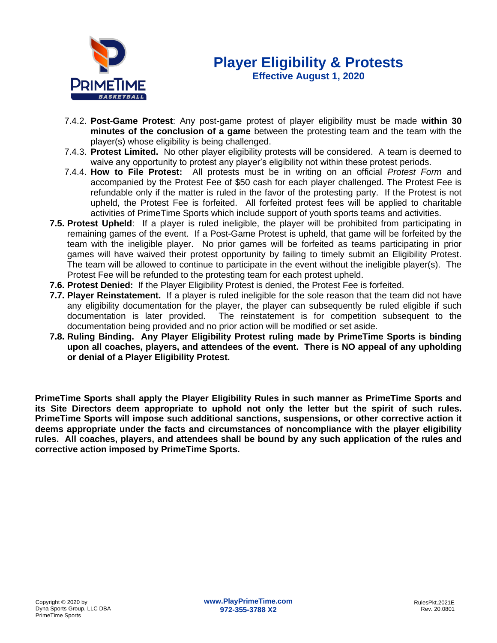

### **Player Eligibility & Protests Effective August 1, 2020**

- 7.4.2. **Post-Game Protest**: Any post-game protest of player eligibility must be made **within 30 minutes of the conclusion of a game** between the protesting team and the team with the player(s) whose eligibility is being challenged.
- 7.4.3. **Protest Limited.** No other player eligibility protests will be considered. A team is deemed to waive any opportunity to protest any player's eligibility not within these protest periods.
- 7.4.4. **How to File Protest:** All protests must be in writing on an official *Protest Form* and accompanied by the Protest Fee of \$50 cash for each player challenged. The Protest Fee is refundable only if the matter is ruled in the favor of the protesting party. If the Protest is not upheld, the Protest Fee is forfeited. All forfeited protest fees will be applied to charitable activities of PrimeTime Sports which include support of youth sports teams and activities.
- **7.5. Protest Upheld**: If a player is ruled ineligible, the player will be prohibited from participating in remaining games of the event. If a Post-Game Protest is upheld, that game will be forfeited by the team with the ineligible player. No prior games will be forfeited as teams participating in prior games will have waived their protest opportunity by failing to timely submit an Eligibility Protest. The team will be allowed to continue to participate in the event without the ineligible player(s). The Protest Fee will be refunded to the protesting team for each protest upheld.
- **7.6. Protest Denied:** If the Player Eligibility Protest is denied, the Protest Fee is forfeited.
- **7.7. Player Reinstatement.** If a player is ruled ineligible for the sole reason that the team did not have any eligibility documentation for the player, the player can subsequently be ruled eligible if such documentation is later provided. The reinstatement is for competition subsequent to the documentation being provided and no prior action will be modified or set aside.
- **7.8. Ruling Binding. Any Player Eligibility Protest ruling made by PrimeTime Sports is binding upon all coaches, players, and attendees of the event. There is NO appeal of any upholding or denial of a Player Eligibility Protest.**

**PrimeTime Sports shall apply the Player Eligibility Rules in such manner as PrimeTime Sports and its Site Directors deem appropriate to uphold not only the letter but the spirit of such rules. PrimeTime Sports will impose such additional sanctions, suspensions, or other corrective action it deems appropriate under the facts and circumstances of noncompliance with the player eligibility rules. All coaches, players, and attendees shall be bound by any such application of the rules and corrective action imposed by PrimeTime Sports.**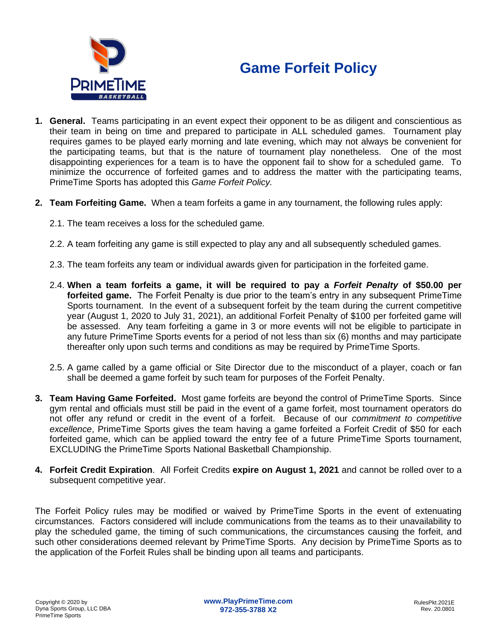# **Game Forfeit Policy**



- **1. General.** Teams participating in an event expect their opponent to be as diligent and conscientious as their team in being on time and prepared to participate in ALL scheduled games. Tournament play requires games to be played early morning and late evening, which may not always be convenient for the participating teams, but that is the nature of tournament play nonetheless. One of the most disappointing experiences for a team is to have the opponent fail to show for a scheduled game. To minimize the occurrence of forfeited games and to address the matter with the participating teams, PrimeTime Sports has adopted this *Game Forfeit Policy.*
- **2. Team Forfeiting Game.** When a team forfeits a game in any tournament, the following rules apply:
	- 2.1. The team receives a loss for the scheduled game.
	- 2.2. A team forfeiting any game is still expected to play any and all subsequently scheduled games.
	- 2.3. The team forfeits any team or individual awards given for participation in the forfeited game.
	- 2.4. **When a team forfeits a game, it will be required to pay a** *Forfeit Penalty* **of \$50.00 per forfeited game.** The Forfeit Penalty is due prior to the team's entry in any subsequent PrimeTime Sports tournament. In the event of a subsequent forfeit by the team during the current competitive year (August 1, 2020 to July 31, 2021), an additional Forfeit Penalty of \$100 per forfeited game will be assessed. Any team forfeiting a game in 3 or more events will not be eligible to participate in any future PrimeTime Sports events for a period of not less than six (6) months and may participate thereafter only upon such terms and conditions as may be required by PrimeTime Sports.
	- 2.5. A game called by a game official or Site Director due to the misconduct of a player, coach or fan shall be deemed a game forfeit by such team for purposes of the Forfeit Penalty.
- **3. Team Having Game Forfeited.** Most game forfeits are beyond the control of PrimeTime Sports. Since gym rental and officials must still be paid in the event of a game forfeit, most tournament operators do not offer any refund or credit in the event of a forfeit. Because of our *commitment to competitive excellence*, PrimeTime Sports gives the team having a game forfeited a Forfeit Credit of \$50 for each forfeited game, which can be applied toward the entry fee of a future PrimeTime Sports tournament, EXCLUDING the PrimeTime Sports National Basketball Championship.
- **4. Forfeit Credit Expiration**. All Forfeit Credits **expire on August 1, 2021** and cannot be rolled over to a subsequent competitive year.

The Forfeit Policy rules may be modified or waived by PrimeTime Sports in the event of extenuating circumstances. Factors considered will include communications from the teams as to their unavailability to play the scheduled game, the timing of such communications, the circumstances causing the forfeit, and such other considerations deemed relevant by PrimeTime Sports. Any decision by PrimeTime Sports as to the application of the Forfeit Rules shall be binding upon all teams and participants.